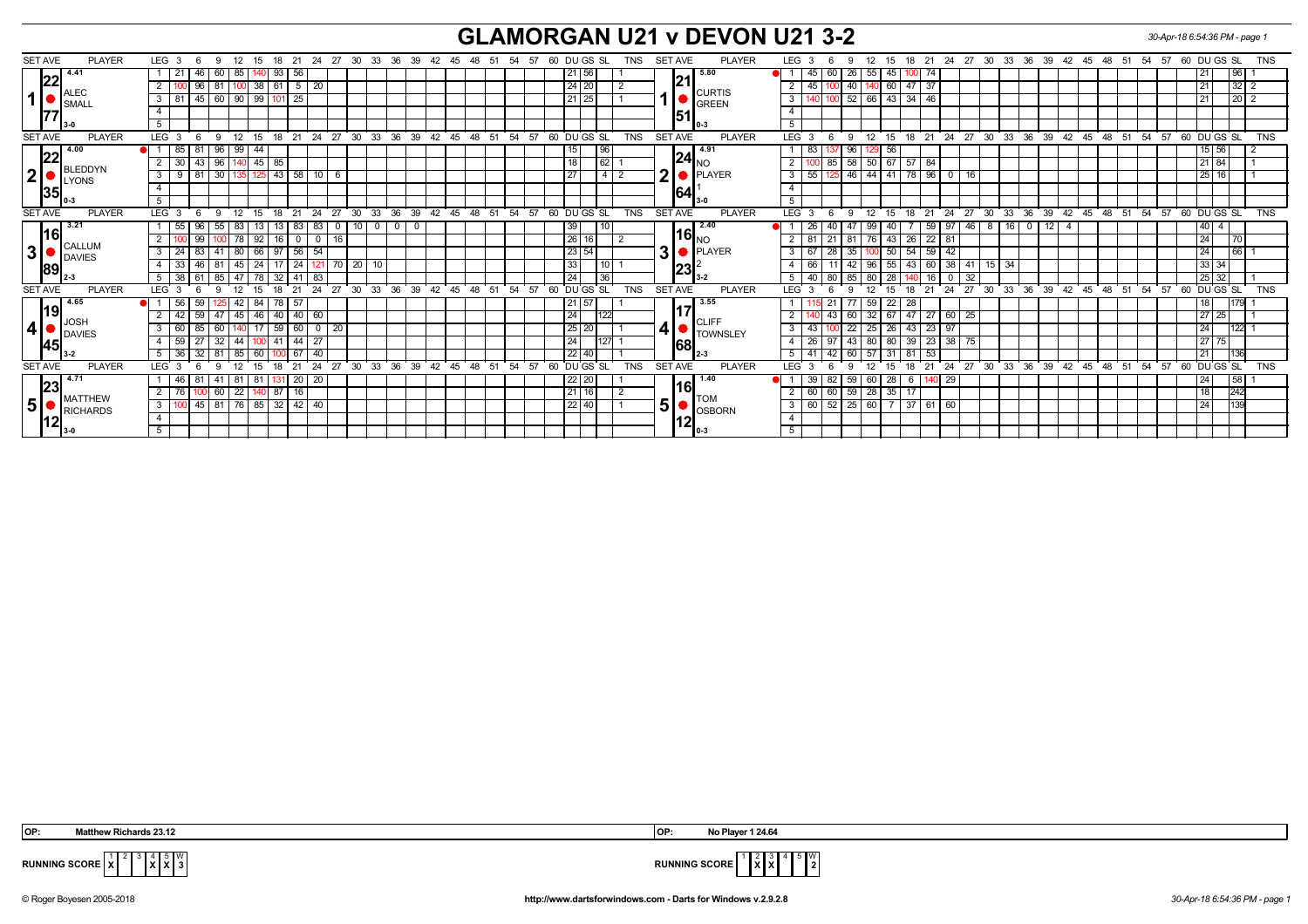## **GLAMORGAN U21 v DEVON U21 3-2** *30-Apr-18 6:54:36 PM - page 1*

|                | <b>SET AVE</b> | <b>PLAYER</b>                | LEG <sub>3</sub>        |                 | -6            | - 9             | 12    | 15  |                  |                   | 18 21 24       | 27       |              | 30 33 36 39     |                    |       |       | 42  45  48  51  54  57 |    |    |       |    |    |                 | 60 DU GS SL                           |                 | TNS        |   |                              | <b>SET AVE</b>       | <b>PLAYER</b>                                        |                         | LEG <sub>3</sub> |          |          | 12<br>9          | 15                |              |                 |              |                 |              |                  |              |               | 18 21 24 27 30 33 36 39 42 45 48 51 54 57   |    |    |          |             |     | 60 DU GS SL |            |                      | <b>TNS</b> |
|----------------|----------------|------------------------------|-------------------------|-----------------|---------------|-----------------|-------|-----|------------------|-------------------|----------------|----------|--------------|-----------------|--------------------|-------|-------|------------------------|----|----|-------|----|----|-----------------|---------------------------------------|-----------------|------------|---|------------------------------|----------------------|------------------------------------------------------|-------------------------|------------------|----------|----------|------------------|-------------------|--------------|-----------------|--------------|-----------------|--------------|------------------|--------------|---------------|---------------------------------------------|----|----|----------|-------------|-----|-------------|------------|----------------------|------------|
|                |                | 14.41                        |                         |                 | 46            | 60              | 85    |     | 93               | 56                |                |          |              |                 |                    |       |       |                        |    |    |       |    |    | 21              | 56                                    |                 |            |   |                              |                      | 5.80                                                 |                         |                  | 45       | 60       | 26               | 55 45             |              | 1001            |              |                 |              |                  |              |               |                                             |    |    |          |             |     |             | 96         |                      |            |
|                | 22             |                              |                         |                 | 96            | 81              |       |     | $100$ 38 61 5 20 |                   |                |          |              |                 |                    |       |       |                        |    |    |       |    |    | 24 20           |                                       |                 |            |   |                              | 21                   |                                                      | $\overline{2}$          |                  | 45       |          | 40               | $140$ 60          | 47           | 37              |              |                 |              |                  |              |               |                                             |    |    |          |             |     |             |            | 32 2                 |            |
|                | 1              | ALEC<br>SMALL                | 3 I                     | 81              | 45            | 60   90   99    |       |     | 101              | 25                |                |          |              |                 |                    |       |       |                        |    |    |       |    |    | 21              | 25                                    |                 |            |   |                              |                      | <b>CURTIS</b><br>GREEN                               | $\overline{3}$          |                  |          |          | 52               | 66 43             |              | $34$ 46         |              |                 |              |                  |              |               |                                             |    |    |          |             |     | 21          |            | $\vert$ 20 $\vert$ 2 |            |
|                | 177            |                              | $\overline{4}$          |                 |               |                 |       |     |                  |                   |                |          |              |                 |                    |       |       |                        |    |    |       |    |    |                 |                                       |                 |            |   |                              | 51                   |                                                      | $\overline{4}$          |                  |          |          |                  |                   |              |                 |              |                 |              |                  |              |               |                                             |    |    |          |             |     |             |            |                      |            |
|                |                |                              | 5 <sup>5</sup>          |                 |               |                 |       |     |                  |                   |                |          |              |                 |                    |       |       |                        |    |    |       |    |    |                 |                                       |                 |            |   |                              |                      |                                                      | $\overline{5}$          |                  |          |          |                  |                   |              |                 |              |                 |              |                  |              |               |                                             |    |    |          |             |     |             |            |                      |            |
|                | <b>SET AVE</b> | <b>PLAYER</b>                | $LEG \ 3$               |                 |               | $\mathbf{q}$    | 12    | 15  | 18               | 21                | 24             | 27       | $30^{\circ}$ |                 | 33 36              | 39    | 42 45 |                        | 48 | 51 | 54 57 |    |    |                 | 60 DUGS SL                            |                 | <b>TNS</b> |   |                              | <b>SET AVE</b>       | <b>PLAYER</b>                                        | LEG <sup>1</sup>        |                  |          |          | 12<br>9          | 15                | 18           |                 |              |                 |              | $21$ 24 27 30 33 | 36           | $39 \quad 42$ |                                             | 45 |    | 48 51 54 |             | 57  | 60 DUGS SL  |            |                      | <b>TNS</b> |
|                |                | 4.00<br>BLEDDYN<br>LYONS     |                         | 85              | 81            | -96             | 99    | 44  |                  |                   |                |          |              |                 |                    |       |       |                        |    |    |       |    |    | 15              |                                       | 96              |            |   |                              |                      | 14.91                                                |                         | 83               |          |          | 96               | 56                |              |                 |              |                 |              |                  |              |               |                                             |    |    |          |             |     | $15$ 56     |            |                      |            |
|                | 22             |                              | 2 <sup>1</sup>          | 30 <sup>1</sup> |               | 43 96 140 45 85 |       |     |                  |                   |                |          |              |                 |                    |       |       |                        |    |    |       |    |    | 18              |                                       | 62              |            |   |                              | $\ 24\ _{\text{NO}}$ |                                                      |                         |                  |          | 85       | 58               | 50 67 57          |              | 84              |              |                 |              |                  |              |               |                                             |    |    |          |             |     | 21 84       |            |                      |            |
| $2\vert$       |                |                              | 3 <sup>1</sup>          | $9$ 81          |               | 30   135   125  |       |     |                  | $43 \mid 58$      | 10             | - 6      |              |                 |                    |       |       |                        |    |    |       |    |    | $\overline{27}$ |                                       | $4\overline{2}$ |            | 2 |                              |                      | <b>O</b> PLAYER                                      | $\overline{\mathbf{3}}$ |                  | 55       |          | 46 44 41 78 96 0 |                   |              |                 |              | 16              |              |                  |              |               |                                             |    |    |          |             |     | 25 16       |            |                      |            |
|                | 35             |                              |                         |                 |               |                 |       |     |                  |                   |                |          |              |                 |                    |       |       |                        |    |    |       |    |    |                 |                                       |                 |            |   |                              | 64                   |                                                      |                         |                  |          |          |                  |                   |              |                 |              |                 |              |                  |              |               |                                             |    |    |          |             |     |             |            |                      |            |
|                |                |                              | 5                       |                 |               |                 |       |     |                  |                   |                |          |              |                 |                    |       |       |                        |    |    |       |    |    |                 |                                       |                 |            |   |                              |                      |                                                      | 5                       |                  |          |          |                  |                   |              |                 |              |                 |              |                  |              |               |                                             |    |    |          |             |     |             |            |                      |            |
|                | <b>SET AVE</b> | <b>PLAYER</b>                | LEG <sub>3</sub>        |                 | 6             | $\mathbf{q}$    | 12    | 15  | 18               | 21                | 24             | 27       | $30^{\circ}$ |                 |                    |       |       |                        |    |    |       |    |    |                 | 33 36 39 42 45 48 51 54 57 60 DUGS SL |                 | <b>TNS</b> |   |                              | <b>SET AVE</b>       | <b>PLAYER</b>                                        | LEG <sup>1</sup>        |                  |          | 9        | 12               | 15                | 18           | 21              | 24           |                 |              |                  |              |               | 27 30 33 36 39 42 45 48 51 54 57 60 DUGS SL |    |    |          |             |     |             |            |                      | <b>TNS</b> |
|                | 16 <br>3       | 3.21<br>CALLUM<br>DAVIES     |                         | 55              | 96            | 55              | 83    | 13  |                  | 83                | 83             | <b>U</b> |              | 10 <sup>1</sup> | $\mathbf 0$<br>- 0 |       |       |                        |    |    |       |    |    | 39              |                                       | 10 <sup>1</sup> |            |   |                              |                      | 12.40                                                |                         | 26               |          |          | 99               | 40                |              |                 | 59 97        | 46              | - 8          | 16               | $\mathbf{0}$ | 12            |                                             |    |    |          |             |     | 40 4        |            |                      |            |
|                |                |                              |                         |                 | 99            |                 | 78    | 92  |                  | $16$ 0            | $\overline{0}$ | 16       |              |                 |                    |       |       |                        |    |    |       |    |    | 26              |                                       |                 |            |   |                              | $ 16 _{{\sf NO}}$    |                                                      |                         | 81               |          |          | 81               | 76 43             | 26           |                 | $22 \mid 81$ |                 |              |                  |              |               |                                             |    |    |          |             |     | 24          | <b>170</b> |                      |            |
|                |                |                              | 3                       |                 | 83            | -41             | 80    | 66  | -97              | 56                | 54             |          |              |                 |                    |       |       |                        |    |    |       |    |    | 23 54           |                                       |                 |            |   | 3                            |                      | <b>D</b> PLAYER                                      |                         | 67               |          |          | 35               | 50                | 54           | 59              | 42           |                 |              |                  |              |               |                                             |    |    |          |             |     | 24          | 66         |                      |            |
|                | 89             |                              |                         |                 | 46            | -81             | 45    | 24  |                  | 24                |                |          | 20           |                 | 10                 |       |       |                        |    |    |       |    |    | 33              |                                       | 10              |            |   |                              |                      |                                                      |                         | 66               |          |          | 42<br>96         | 55                | 43           |                 | $60 \mid 38$ | 41              |              | $15 \mid 34$     |              |               |                                             |    |    |          |             |     | 33 34       |            |                      |            |
|                |                |                              | 51                      | 38              |               | 85   47         |       | 78  |                  | $32 \mid 41$      | 83             |          |              |                 |                    |       |       |                        |    |    |       |    |    | $\sqrt{24}$     |                                       | 36              |            |   |                              | $ 23 ^2$             |                                                      | 5                       | 40               |          | 80       | 85<br>80         | l 28              |              | 16 <sup>1</sup> |              | $\overline{32}$ |              |                  |              |               |                                             |    |    |          |             |     | 25 32       |            |                      |            |
|                | <b>SET AVE</b> | <b>PLAYER</b>                | LEG <sub>3</sub>        |                 |               | <b>Q</b>        |       | 15  | 18               |                   | 24             | 27       | 30           | 33              | 36                 | 39    | 42 45 |                        | 48 | 51 | 54 57 |    |    |                 | 60 DU GS SL                           |                 | <b>TNS</b> |   |                              | <b>SET AVE</b>       | <b>PLAYER</b>                                        | LEG <sup>T</sup>        |                  |          | <b>q</b> | 12               |                   | 18           | 21              | 24           | 27              | $30^{\circ}$ | $33^\circ$       | 36           | $39 \quad 42$ |                                             | 45 | 48 | 51       | 54 57       |     | 60 DUGS SL  |            |                      | <b>TNS</b> |
|                |                | 4.65                         |                         | 56              | 59            |                 |       | 84  | 78               | 57                |                |          |              |                 |                    |       |       |                        |    |    |       |    |    | 21              | 57                                    |                 |            |   |                              |                      | 3.55                                                 |                         |                  |          |          | 59               | 22                | 28           |                 |              |                 |              |                  |              |               |                                             |    |    |          |             |     | 18          | 179        |                      |            |
|                | l19l           |                              |                         |                 | 59            | 47              | 45    | 46  |                  | $40 \mid 40$      | 60             |          |              |                 |                    |       |       |                        |    |    |       |    |    | $\sqrt{24}$     |                                       | 122             |            |   |                              |                      |                                                      |                         |                  |          | 43       | 60               | $32 \mid 67$      | 47           |                 | $27 \ 60$    | 25              |              |                  |              |               |                                             |    |    |          |             |     | 27 25       |            |                      |            |
| 4              |                | <b>JOSH</b><br><b>DAVIES</b> | -3                      |                 | 85            | 60              |       |     | 59               | 60                | $^{\circ}$     | -20      |              |                 |                    |       |       |                        |    |    |       |    |    | 25              | 20                                    |                 |            |   |                              |                      | $\left  \textbf{4} \right $ $\bullet$ CLIFF TOWNSLEY | 3                       | 43               |          |          | $\overline{22}$  | $25 \mid 26$      |              | 43              | $23 \mid 97$ |                 |              |                  |              |               |                                             |    |    |          |             |     | 24          | 122        |                      |            |
|                |                |                              |                         | 59              |               | 32              | 44    | 100 | 41               | 44                | 27             |          |              |                 |                    |       |       |                        |    |    |       |    |    | 24              |                                       | 127             |            |   |                              |                      |                                                      |                         | 26               | 97       |          | 43               | 80 80             |              | 39              | 23 38        | 75              |              |                  |              |               |                                             |    |    |          |             |     | 27 75       |            |                      |            |
|                | 45             |                              | -5                      | 36              | 32            | -81             | 85    | 60  |                  | 67                | 40             |          |              |                 |                    |       |       |                        |    |    |       |    |    | 22              | 40                                    |                 |            |   | 68                           |                      |                                                      |                         |                  |          |          | 60<br>57         |                   | 81           | 53              |              |                 |              |                  |              |               |                                             |    |    |          |             |     | 21          |            |                      |            |
|                | <b>SET AVE</b> | <b>PLAYER</b>                | LEG <sub>3</sub>        |                 |               | <b>Q</b>        | 12    | 15  | 18               | 21                | 24             | 27       | 30           | 33              |                    | 36 39 |       | 42 45 48               |    | 51 | 54    | 57 | 60 |                 | DU GS SL                              |                 | <b>TNS</b> |   |                              | <b>SET AVE</b>       | PLAYER                                               | <b>LEG</b>              |                  |          |          | 12               |                   | 18           | 21              |              |                 |              |                  |              |               | 24 27 30 33 36 39 42 45 48                  |    |    | 51       | 54          | 57  | 60 DU GS SL |            |                      | <b>TNS</b> |
|                |                | 4.71                         |                         | 46              |               | 41              | 81    |     |                  | 20 <sub>1</sub>   | 20             |          |              |                 |                    |       |       |                        |    |    |       |    |    | 22 20           |                                       |                 |            |   |                              |                      | 1.40                                                 |                         | 39               |          |          | 59<br>60         | $\sqrt{28}$       | 6            |                 | 140 29       |                 |              |                  |              |               |                                             |    |    |          |             |     | 24          | 58         |                      |            |
|                | 23             |                              |                         |                 |               | 60              | 22    |     | 87               | 16                |                |          |              |                 |                    |       |       |                        |    |    |       |    |    | 21              | 116                                   |                 |            |   |                              | l16l                 |                                                      |                         |                  |          | 60       | 59               | $28 \mid 35 \mid$ | 17           |                 |              |                 |              |                  |              |               |                                             |    |    |          |             |     | 18          | $242$      |                      |            |
| 5 <sup>1</sup> |                | <b>MATTHEW</b>               | $\overline{\mathbf{3}}$ |                 | $145 \mid 81$ |                 | 76 85 |     |                  | $32 \mid 42 \mid$ | 40             |          |              |                 |                    |       |       |                        |    |    |       |    |    | 22 40           |                                       |                 |            |   | <b>TOM</b><br>5 <sup>1</sup> | $\overline{3}$       | 60                                                   | 52                      |                  | 25<br>60 |          |                  |                   | 37   61   60 |                 |              |                 |              |                  |              |               |                                             |    |    |          | $\sqrt{24}$ | 139 |             |            |                      |            |
|                |                | RICHARDS                     | $\overline{4}$          |                 |               |                 |       |     |                  |                   |                |          |              |                 |                    |       |       |                        |    |    |       |    |    |                 |                                       |                 |            |   |                              |                      | $\bullet$ OSBORN                                     | $\overline{4}$          |                  |          |          |                  |                   |              |                 |              |                 |              |                  |              |               |                                             |    |    |          |             |     |             |            |                      |            |
|                | 112)           |                              | 5                       |                 |               |                 |       |     |                  |                   |                |          |              |                 |                    |       |       |                        |    |    |       |    |    |                 |                                       |                 |            |   |                              | 12                   |                                                      | 5                       |                  |          |          |                  |                   |              |                 |              |                 |              |                  |              |               |                                             |    |    |          |             |     |             |            |                      |            |

 **OP: Matthew Richards 23.12 OP: No Player 1 24.64**



**RUNNING SCORE X X** 5 W **2**

© Roger Boyesen 2005-2018 **http://www.dartsforwindows.com - Darts for Windows v.2.9.2.8** *30-Apr-18 6:54:36 PM - page 1*